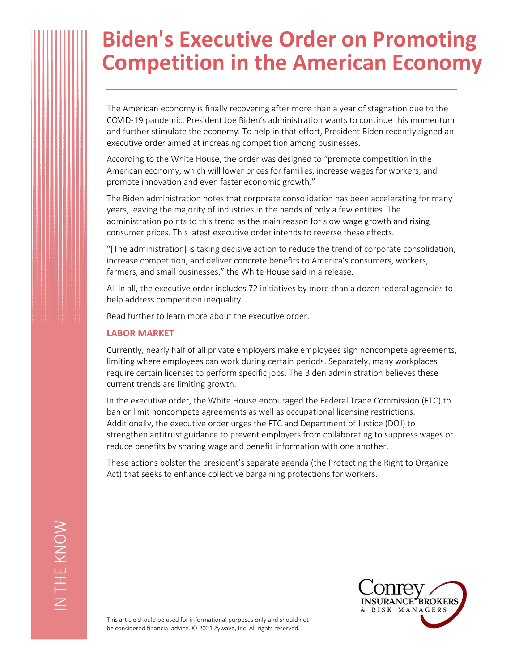# **Biden's Executive Order on Promoting Competition in the American Economy**

The American economy is finally recovering after more than a year of stagnation due to the COVID-19 pandemic. President Joe Biden's administration wants to continue this momentum and further stimulate the economy. To help in that effort, President Biden recently signed an executive order aimed at increasing competition among businesses.

According to the White House, the order was designed to "promote competition in the American economy, which will lower prices for families, increase wages for workers, and promote innovation and even faster economic growth."

The Biden administration notes that corporate consolidation has been accelerating for many years, leaving the majority of industries in the hands of only a few entities. The administration points to this trend as the main reason for slow wage growth and rising consumer prices. This latest executive order intends to reverse these effects.

"[The administration] is taking decisive action to reduce the trend of corporate consolidation, increase competition, and deliver concrete benefits to America's consumers, workers, farmers, and small businesses," the White House said in a release.

All in all, the executive order includes 72 initiatives by more than a dozen federal agencies to help address competition inequality.

Read further to learn more about the executive order.

#### **LABOR MARKET**

Currently, nearly half of all private employers make employees sign noncompete agreements, limiting where employees can work during certain periods. Separately, many workplaces require certain licenses to perform specific jobs. The Biden administration believes these current trends are limiting growth.

In the executive order, the White House encouraged the Federal Trade Commission (FTC) to ban or limit noncompete agreements as well as occupational licensing restrictions. Additionally, the executive order urges the FTC and Department of Justice (DOJ) to strengthen antitrust guidance to prevent employers from collaborating to suppress wages or reduce benefits by sharing wage and benefit information with one another.

These actions bolster the president's separate agenda (the Protecting the Right to Organize Act) that seeks to enhance collective bargaining protections for workers.



This article should be used for informational purposes only and should not be considered financial advice. © 2021 Zywave, Inc. All rights reserved.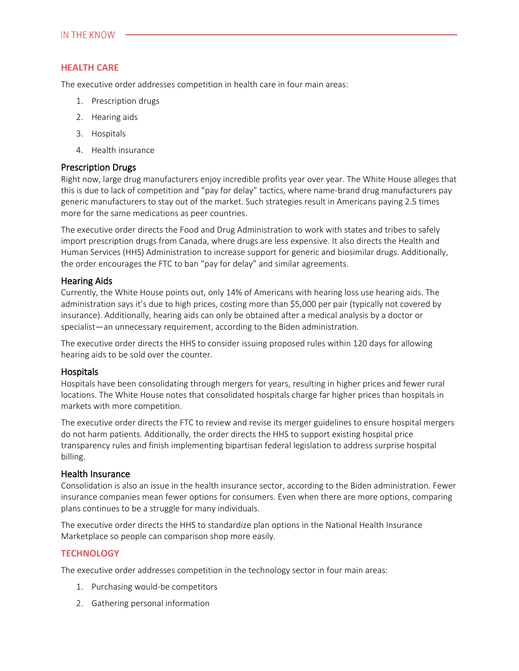# **HEALTH CARE**

The executive order addresses competition in health care in four main areas:

- 1. Prescription drugs
- 2. Hearing aids
- 3. Hospitals
- 4. Health insurance

# **Prescription Drugs**

Right now, large drug manufacturers enjoy incredible profits year over year. The White House alleges that this is due to lack of competition and "pay for delay" tactics, where name-brand drug manufacturers pay generic manufacturers to stay out of the market. Such strategies result in Americans paying 2.5 times more for the same medications as peer countries.

The executive order directs the Food and Drug Administration to work with states and tribes to safely import prescription drugs from Canada, where drugs are less expensive. It also directs the Health and Human Services (HHS) Administration to increase support for generic and biosimilar drugs. Additionally, the order encourages the FTC to ban "pay for delay" and similar agreements.

# **Hearing Aids**

Currently, the White House points out, only 14% of Americans with hearing loss use hearing aids. The administration says it's due to high prices, costing more than \$5,000 per pair (typically not covered by insurance). Additionally, hearing aids can only be obtained after a medical analysis by a doctor or specialist—an unnecessary requirement, according to the Biden administration.

The executive order directs the HHS to consider issuing proposed rules within 120 days for allowing hearing aids to be sold over the counter.

#### **Hospitals**

Hospitals have been consolidating through mergers for years, resulting in higher prices and fewer rural locations. The White House notes that consolidated hospitals charge far higher prices than hospitals in markets with more competition.

The executive order directs the FTC to review and revise its merger guidelines to ensure hospital mergers do not harm patients. Additionally, the order directs the HHS to support existing hospital price transparency rules and finish implementing bipartisan federal legislation to address surprise hospital billing.

#### **Health Insurance**

Consolidation is also an issue in the health insurance sector, according to the Biden administration. Fewer insurance companies mean fewer options for consumers. Even when there are more options, comparing plans continues to be a struggle for many individuals.

The executive order directs the HHS to standardize plan options in the National Health Insurance Marketplace so people can comparison shop more easily.

# **TECHNOLOGY**

The executive order addresses competition in the technology sector in four main areas:

- 1. Purchasing would-be competitors
- 2. Gathering personal information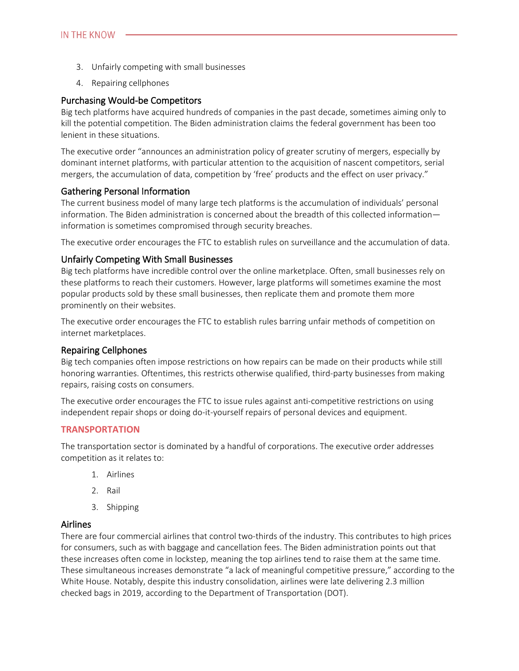- 3. Unfairly competing with small businesses
- 4. Repairing cellphones

## **Purchasing Would-be Competitors**

Big tech platforms have acquired hundreds of companies in the past decade, sometimes aiming only to kill the potential competition. The Biden administration claims the federal government has been too lenient in these situations.

The executive order "announces an administration policy of greater scrutiny of mergers, especially by dominant internet platforms, with particular attention to the acquisition of nascent competitors, serial mergers, the accumulation of data, competition by 'free' products and the effect on user privacy."

# **Gathering Personal Information**

The current business model of many large tech platforms is the accumulation of individuals' personal information. The Biden administration is concerned about the breadth of this collected information information is sometimes compromised through security breaches.

The executive order encourages the FTC to establish rules on surveillance and the accumulation of data.

# **Unfairly Competing With Small Businesses**

Big tech platforms have incredible control over the online marketplace. Often, small businesses rely on these platforms to reach their customers. However, large platforms will sometimes examine the most popular products sold by these small businesses, then replicate them and promote them more prominently on their websites.

The executive order encourages the FTC to establish rules barring unfair methods of competition on internet marketplaces.

#### **Repairing Cellphones**

Big tech companies often impose restrictions on how repairs can be made on their products while still honoring warranties. Oftentimes, this restricts otherwise qualified, third-party businesses from making repairs, raising costs on consumers.

The executive order encourages the FTC to issue rules against anti-competitive restrictions on using independent repair shops or doing do-it-yourself repairs of personal devices and equipment.

#### **TRANSPORTATION**

The transportation sector is dominated by a handful of corporations. The executive order addresses competition as it relates to:

- 1. Airlines
- 2. Rail
- 3. Shipping

## **Airlines**

There are four commercial airlines that control two-thirds of the industry. This contributes to high prices for consumers, such as with baggage and cancellation fees. The Biden administration points out that these increases often come in lockstep, meaning the top airlines tend to raise them at the same time. These simultaneous increases demonstrate "a lack of meaningful competitive pressure," according to the White House. Notably, despite this industry consolidation, airlines were late delivering 2.3 million checked bags in 2019, according to the Department of Transportation (DOT).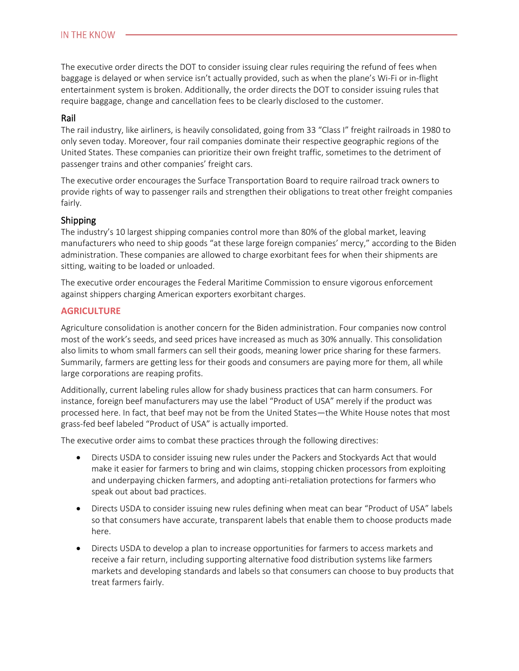The executive order directs the DOT to consider issuing clear rules requiring the refund of fees when baggage is delayed or when service isn't actually provided, such as when the plane's Wi-Fi or in-flight entertainment system is broken. Additionally, the order directs the DOT to consider issuing rules that require baggage, change and cancellation fees to be clearly disclosed to the customer.

# **Rail**

The rail industry, like airliners, is heavily consolidated, going from 33 "Class I" freight railroads in 1980 to only seven today. Moreover, four rail companies dominate their respective geographic regions of the United States. These companies can prioritize their own freight traffic, sometimes to the detriment of passenger trains and other companies' freight cars.

The executive order encourages the Surface Transportation Board to require railroad track owners to provide rights of way to passenger rails and strengthen their obligations to treat other freight companies fairly.

# **Shipping**

The industry's 10 largest shipping companies control more than 80% of the global market, leaving manufacturers who need to ship goods "at these large foreign companies' mercy," according to the Biden administration. These companies are allowed to charge exorbitant fees for when their shipments are sitting, waiting to be loaded or unloaded.

The executive order encourages the Federal Maritime Commission to ensure vigorous enforcement against shippers charging American exporters exorbitant charges.

#### **AGRICULTURE**

Agriculture consolidation is another concern for the Biden administration. Four companies now control most of the work's seeds, and seed prices have increased as much as 30% annually. This consolidation also limits to whom small farmers can sell their goods, meaning lower price sharing for these farmers. Summarily, farmers are getting less for their goods and consumers are paying more for them, all while large corporations are reaping profits.

Additionally, current labeling rules allow for shady business practices that can harm consumers. For instance, foreign beef manufacturers may use the label "Product of USA" merely if the product was processed here. In fact, that beef may not be from the United States—the White House notes that most grass-fed beef labeled "Product of USA" is actually imported.

The executive order aims to combat these practices through the following directives:

- Directs USDA to consider issuing new rules under the Packers and Stockyards Act that would make it easier for farmers to bring and win claims, stopping chicken processors from exploiting and underpaying chicken farmers, and adopting anti-retaliation protections for farmers who speak out about bad practices.
- Directs USDA to consider issuing new rules defining when meat can bear "Product of USA" labels so that consumers have accurate, transparent labels that enable them to choose products made here.
- Directs USDA to develop a plan to increase opportunities for farmers to access markets and receive a fair return, including supporting alternative food distribution systems like farmers markets and developing standards and labels so that consumers can choose to buy products that treat farmers fairly.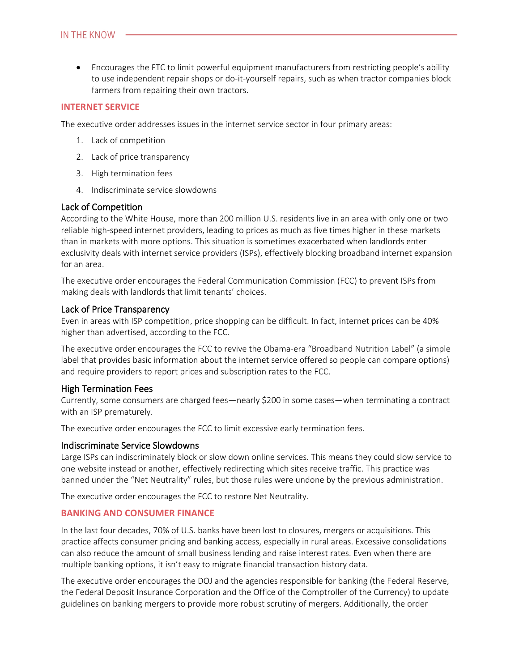Encourages the FTC to limit powerful equipment manufacturers from restricting people's ability to use independent repair shops or do-it-yourself repairs, such as when tractor companies block farmers from repairing their own tractors.

# **INTERNET SERVICE**

The executive order addresses issues in the internet service sector in four primary areas:

- 1. Lack of competition
- 2. Lack of price transparency
- 3. High termination fees
- 4. Indiscriminate service slowdowns

# **Lack of Competition**

According to the White House, more than 200 million U.S. residents live in an area with only one or two reliable high-speed internet providers, leading to prices as much as five times higher in these markets than in markets with more options. This situation is sometimes exacerbated when landlords enter exclusivity deals with internet service providers (ISPs), effectively blocking broadband internet expansion for an area.

The executive order encourages the Federal Communication Commission (FCC) to prevent ISPs from making deals with landlords that limit tenants' choices.

# **Lack of Price Transparency**

Even in areas with ISP competition, price shopping can be difficult. In fact, internet prices can be 40% higher than advertised, according to the FCC.

The executive order encourages the FCC to revive the Obama-era "Broadband Nutrition Label" (a simple label that provides basic information about the internet service offered so people can compare options) and require providers to report prices and subscription rates to the FCC.

#### **High Termination Fees**

Currently, some consumers are charged fees—nearly \$200 in some cases—when terminating a contract with an ISP prematurely.

The executive order encourages the FCC to limit excessive early termination fees.

#### **Indiscriminate Service Slowdowns**

Large ISPs can indiscriminately block or slow down online services. This means they could slow service to one website instead or another, effectively redirecting which sites receive traffic. This practice was banned under the "Net Neutrality" rules, but those rules were undone by the previous administration.

The executive order encourages the FCC to restore Net Neutrality.

#### **BANKING AND CONSUMER FINANCE**

In the last four decades, 70% of U.S. banks have been lost to closures, mergers or acquisitions. This practice affects consumer pricing and banking access, especially in rural areas. Excessive consolidations can also reduce the amount of small business lending and raise interest rates. Even when there are multiple banking options, it isn't easy to migrate financial transaction history data.

The executive order encourages the DOJ and the agencies responsible for banking (the Federal Reserve, the Federal Deposit Insurance Corporation and the Office of the Comptroller of the Currency) to update guidelines on banking mergers to provide more robust scrutiny of mergers. Additionally, the order